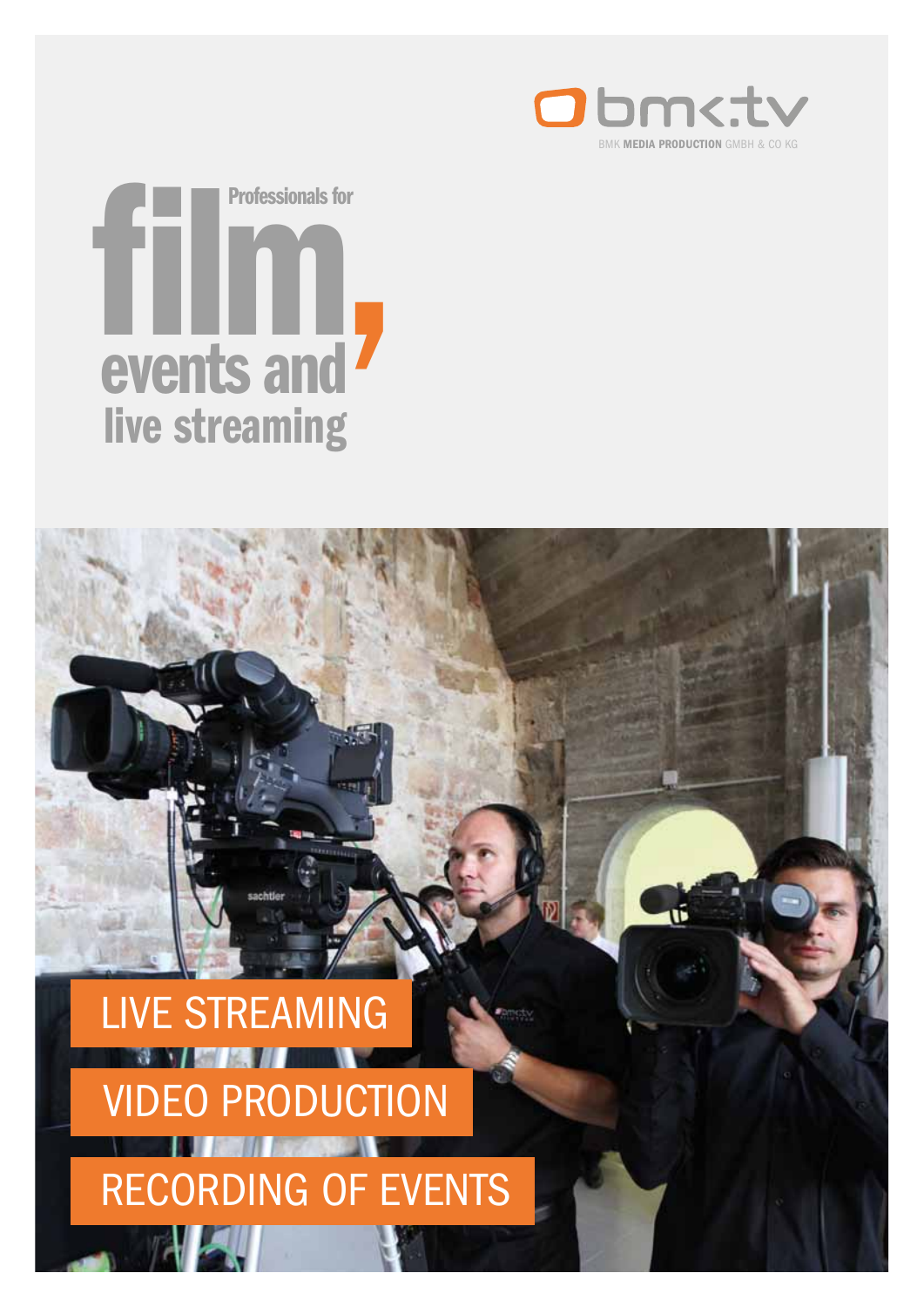

ú

# events and live streaming Professionals for<br> **Expert is and**

## Live streaming PRODUCTION

Recording of events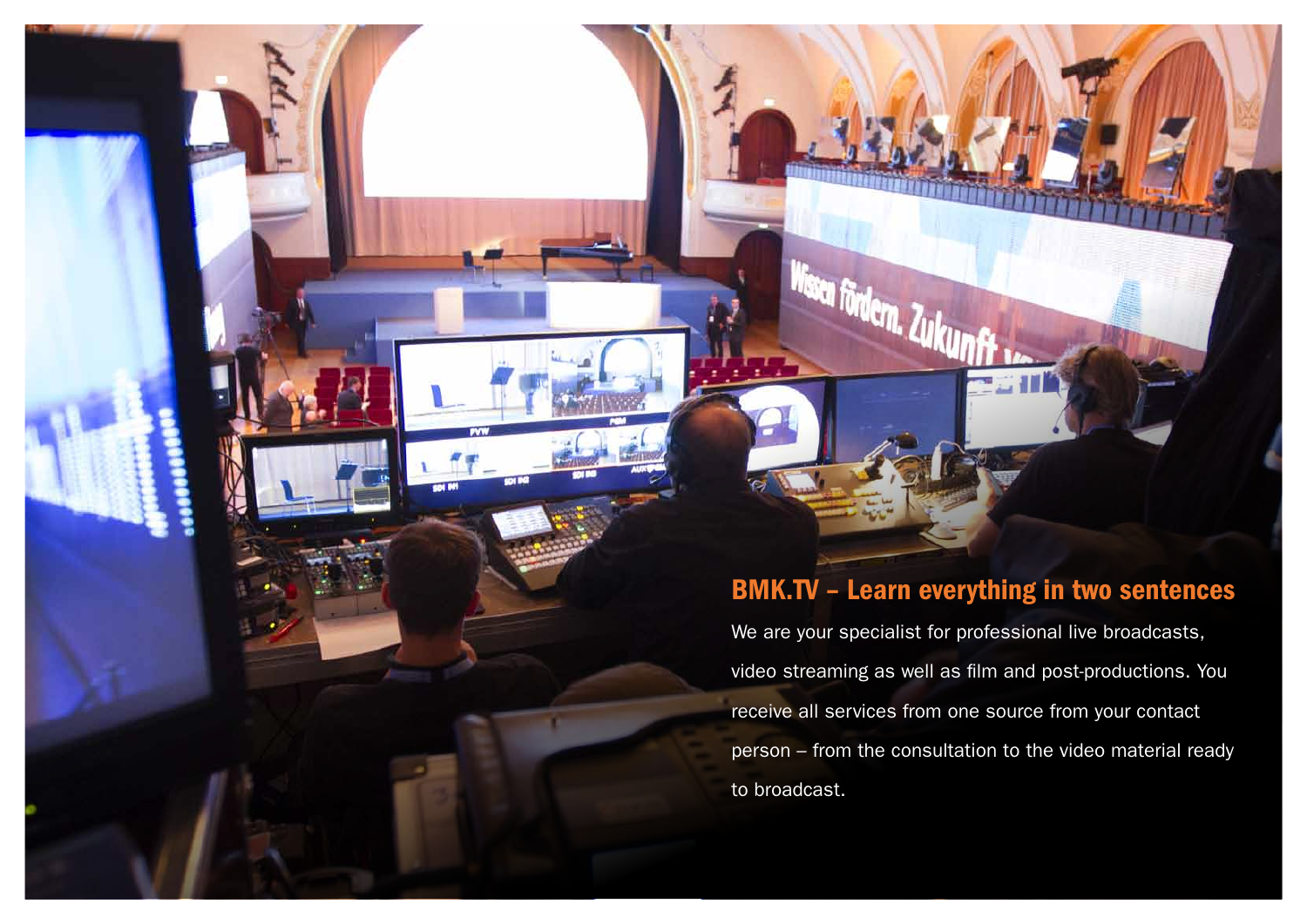### BMK.TV – Learn everything in two sentences

We are your specialist for professional live broadcasts, video streaming as well as film and post-productions. You receive all services from one source from your contact person – from the consultation to the video material ready to broadcast.



- 
- 
- 
-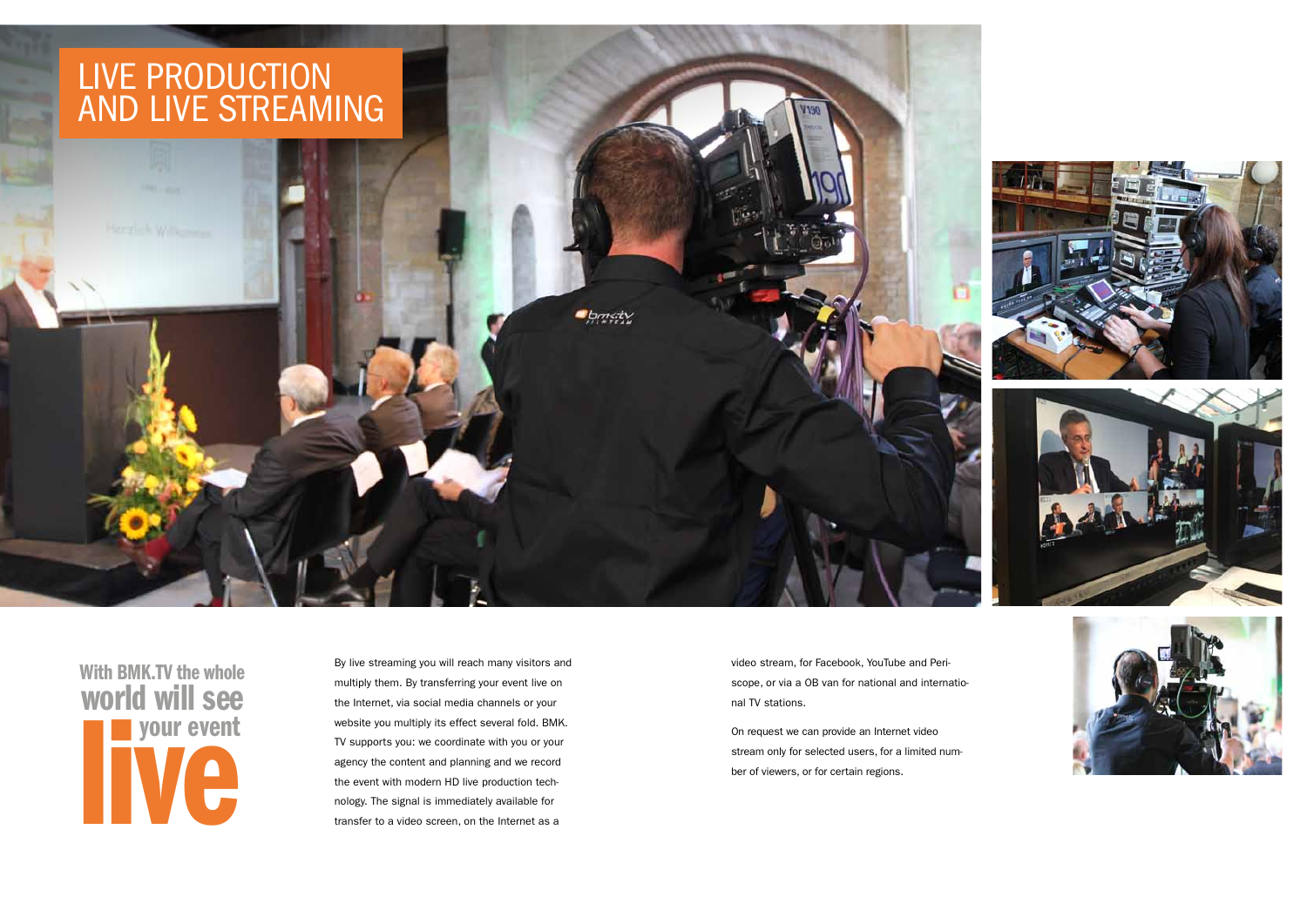By live streaming you will reach many visitors and multiply them. By transferring your event live on the Internet, via social media channels or your website you multiply its effect several fold. BMK. TV supports you: we coordinate with you or your agency the content and planning and we record the event with modern HD live production technology. The signal is immediately available for transfer to a video screen, on the Internet as a

**Spricty** 

### LIVE PRODUCTION and live streaming

video stream, for Facebook, YouTube and Periscope, or via a OB van for national and international TV stations.

On request we can provide an Internet video stream only for selected users, for a limited number of viewers, or for certain regions.







With BMK.TV the whole your event world will see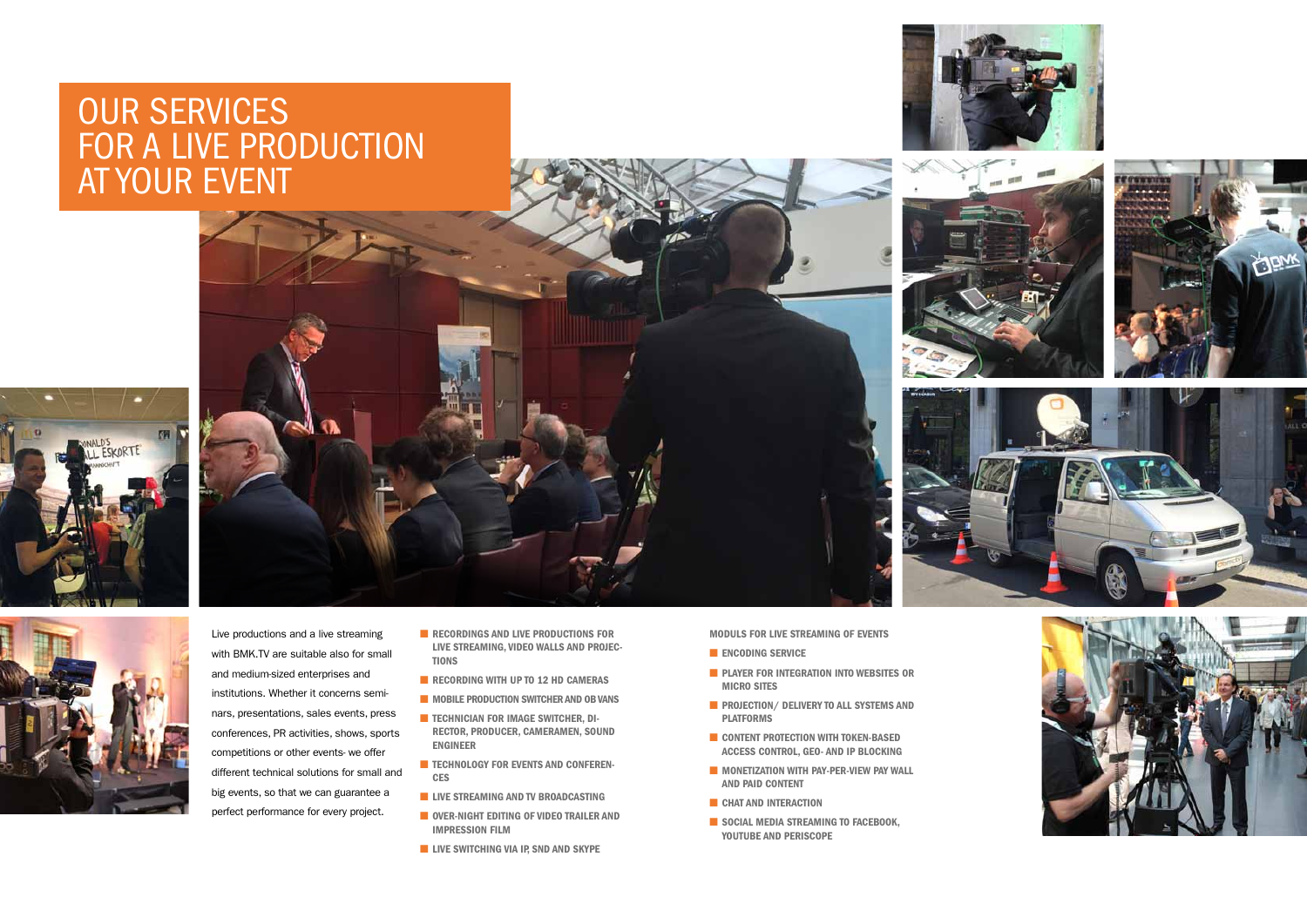

- RECORDINGS AND LIVE PRODUCTIONS FOR live streaming, video walls and projec-**TIONS**
- **E** RECORDING WITH UP TO 12 HD CAMERAS
- MOBILE PRODUCTION SWITCHER AND OB VANS
- TECHNICIAN FOR IMAGE SWITCHER, DIrector, producer, cameramen, sound engineer
- TECHNOLOGY FOR EVENTS AND CONFERENces
- **E** LIVE STREAMING AND TV BROADCASTING
- Over-night editing of video trailer and impression film
- LIVE SWITCHING VIA IP, SND AND SKYPE

### Our services FOR A LIVE PRODUCTION at your event



- **ENCODING SERVICE**
- PLAYER FOR INTEGRATION INTO WEBSITES OR micro sites
- **E** PROJECTION/ DELIVERY TO ALL SYSTEMS AND platforms
- CONTENT PROTECTION WITH TOKEN-BASED access control, geo- and IP blocking
- MONETIZATION WITH PAY-PER-VIEW PAY WALL and Paid Content
- CHAT AND INTERACTION
- SOCIAL MEDIA STREAMING TO FACEBOOK, YouTube and Periscope















Moduls for live streaming of events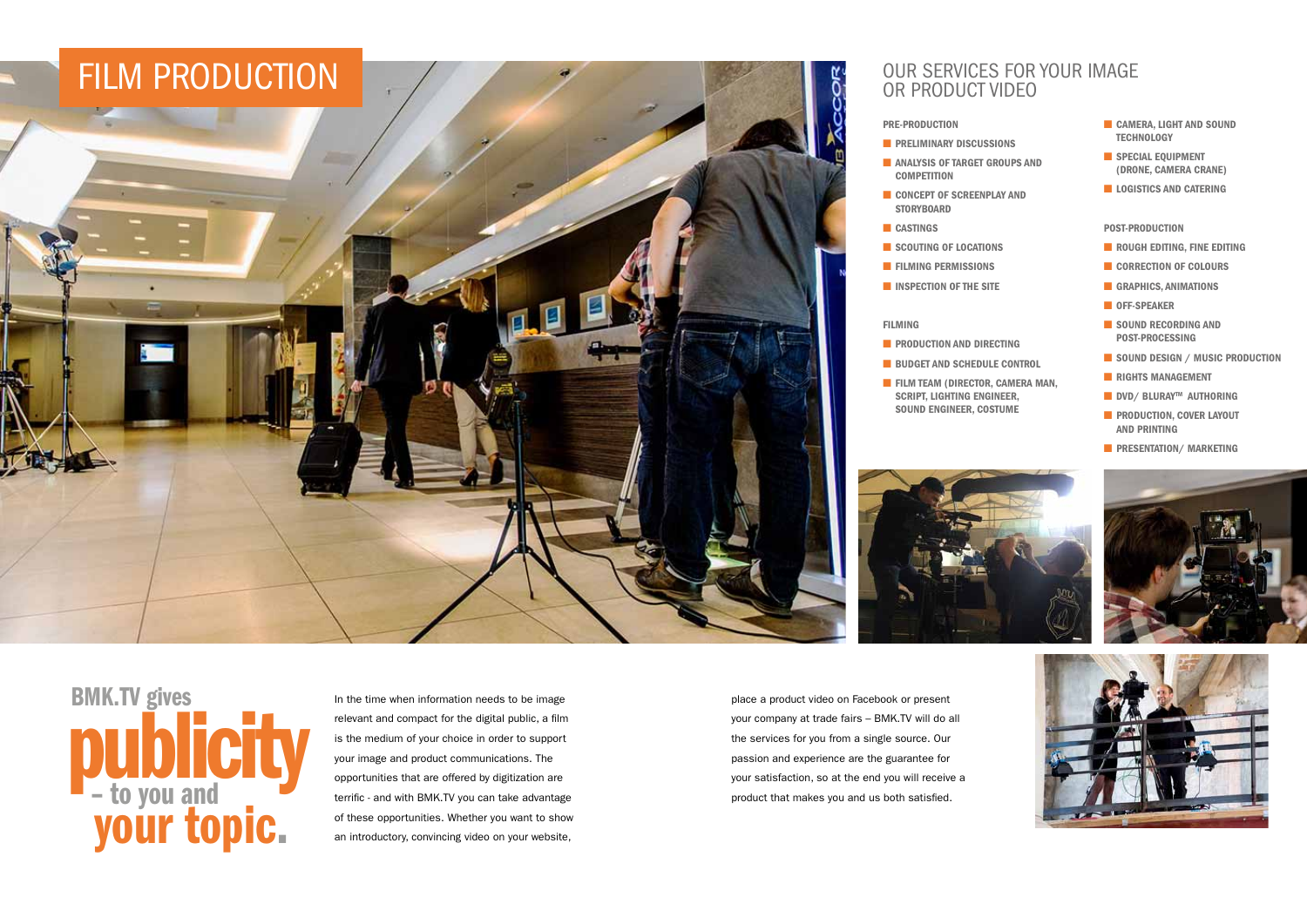In the time when information needs to be image relevant and compact for the digital public, a film is the medium of your choice in order to support your image and product communications. The opportunities that are offered by digitization are terrific - and with BMK.TV you can take advantage of these opportunities. Whether you want to show an introductory, convincing video on your website,

your topic. BMK.TV gives – to you and publicity



place a product video on Facebook or present your company at trade fairs – BMK.TV will do all the services for you from a single source. Our passion and experience are the guarantee for your satisfaction, so at the end you will receive a product that makes you and us both satisfied.

- 
- 
- 
- 
- 
- 
- 
- 
- CAMERA, LIGHT AND SOUND **TECHNOLOGY**
- **B** SPECIAL EQUIPMENT (drone, camera crane)
- LOGISTICS AND CATERING

- **E** PRODUCTION AND DIRECTING
- BUDGET AND SCHEDULE CONTROL
- **E** FILM TEAM (DIRECTOR, CAMERA MAN, script, lighting engineer, sound engineer, costume



#### Our services for your image or product video

Pre-production

- **E** PRELIMINARY DISCUSSIONS
- ANALYSIS OF TARGET GROUPS AND **COMPETITION**
- CONCEPT OF SCREENPLAY AND **STORYBOARD**
- CASTINGS
- SCOUTING OF LOCATIONS
- **E** FILMING PERMISSIONS
- INSPECTION OF THE SITE

#### Filming

#### Post-production

- ROUGH EDITING, FINE EDITING
- CORRECTION OF COLOURS
- GRAPHICS, ANIMATIONS
- OFF-SPEAKER
- SOUND RECORDING AND post-processing
- SOUND DESIGN / MUSIC PRODUCTION
- RIGHTS MANAGEMENT
- DVD/ BLURAY<sup>™</sup> AUTHORING
- **E** PRODUCTION, COVER LAYOUT and printing
- **E** PRESENTATION/ MARKETING

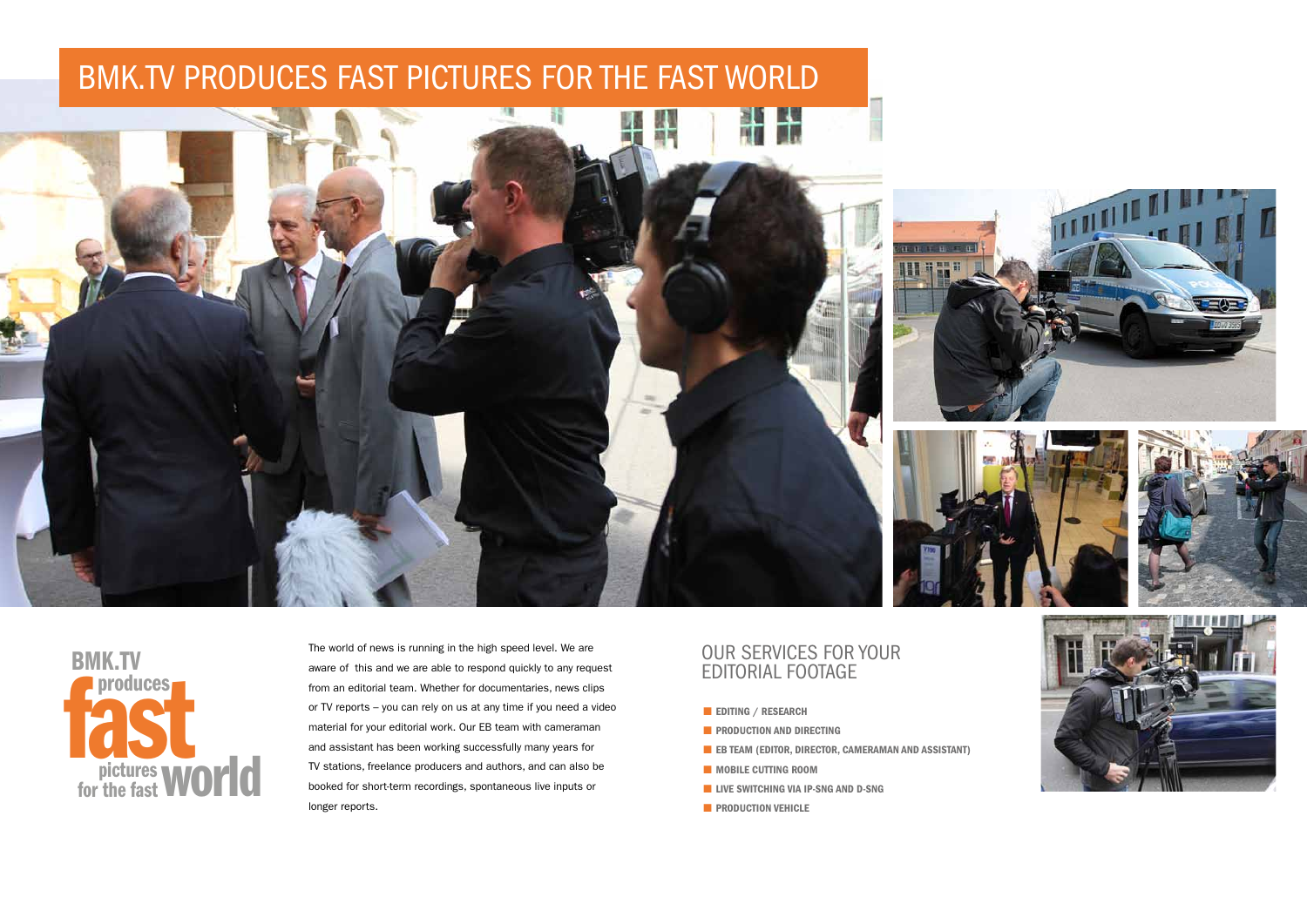The world of news is running in the high speed level. We are aware of this and we are able to respond quickly to any request from an editorial team. Whether for documentaries, news clips or TV reports – you can rely on us at any time if you need a video material for your editorial work. Our EB team with cameraman and assistant has been working successfully many years for TV stations, freelance producers and authors, and can also be booked for short-term recordings, spontaneous live inputs or longer reports.

#### Our services for your editorial footage

- Editing / Research
- **E** PRODUCTION AND DIRECTING
- $\blacksquare$  EB TEAM (EDITOR, DIRECTOR, CAMERAMAN AND ASSISTANT)
- MOBILE CUTTING ROOM
- LIVE SWITCHING VIA IP-SNG AND D-SNG
- **E** PRODUCTION VEHICLE









### BMK.TV PRODUCES FAST PICTURES FOR THE FAST WORLD



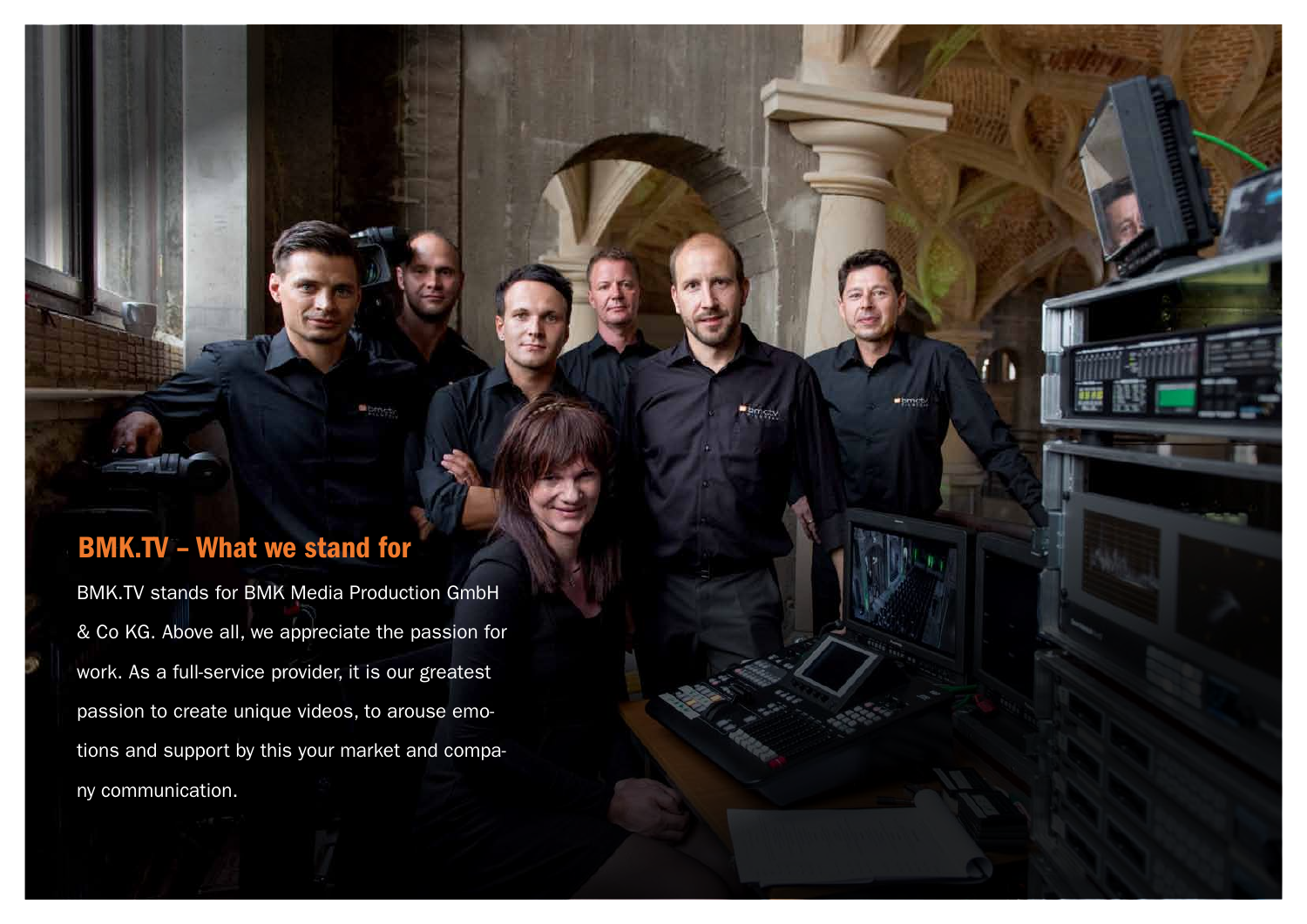BMK.TV stands for BMK Media Production GmbH & Co KG. Above all, we appreciate the passion for work. As a full-service provider, it is our greatest passion to create unique videos, to arouse emotions and support by this your market and company communication.



pmct

### BMK.TV – What we stand for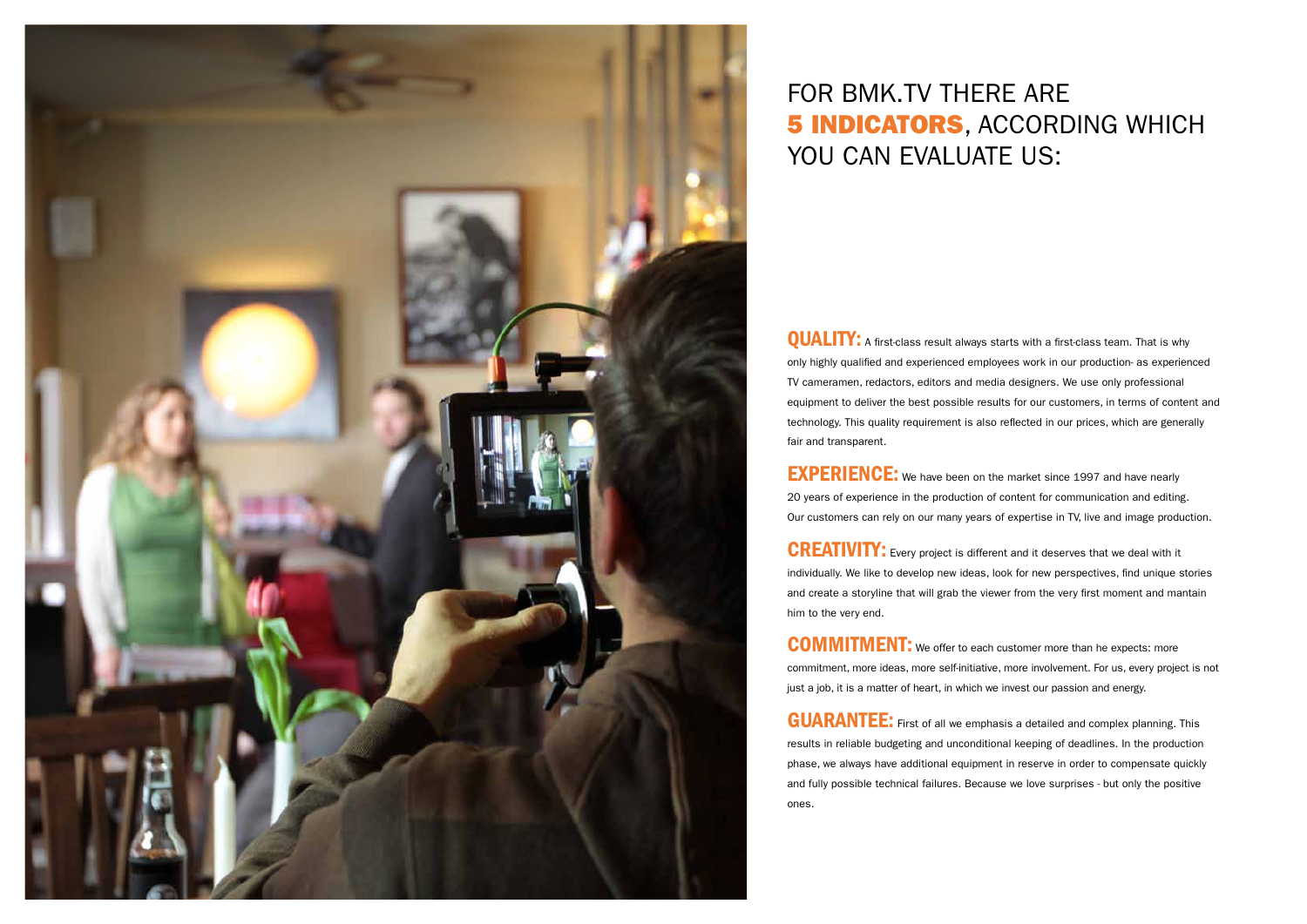

### For BMK.TV there are **5 INDICATORS, ACCORDING WHICH** YOU CAN EVALUATE US:

**QUALITY:** A first-class result always starts with a first-class team. That is why only highly qualified and experienced employees work in our production- as experienced TV cameramen, redactors, editors and media designers. We use only professional equipment to deliver the best possible results for our customers, in terms of content and technology. This quality requirement is also reflected in our prices, which are generally fair and transparent.

**EXPERIENCE:** We have been on the market since 1997 and have nearly 20 years of experience in the production of content for communication and editing. Our customers can rely on our many years of expertise in TV, live and image production.

**CREATIVITY:** Every project is different and it deserves that we deal with it individually. We like to develop new ideas, look for new perspectives, find unique stories and create a storyline that will grab the viewer from the very first moment and mantain him to the very end.

**COMMITMENT:** We offer to each customer more than he expects: more commitment, more ideas, more self-initiative, more involvement. For us, every project is not just a job, it is a matter of heart, in which we invest our passion and energy.

**GUARANTEE:** First of all we emphasis a detailed and complex planning. This results in reliable budgeting and unconditional keeping of deadlines. In the production phase, we always have additional equipment in reserve in order to compensate quickly and fully possible technical failures. Because we love surprises - but only the positive ones.